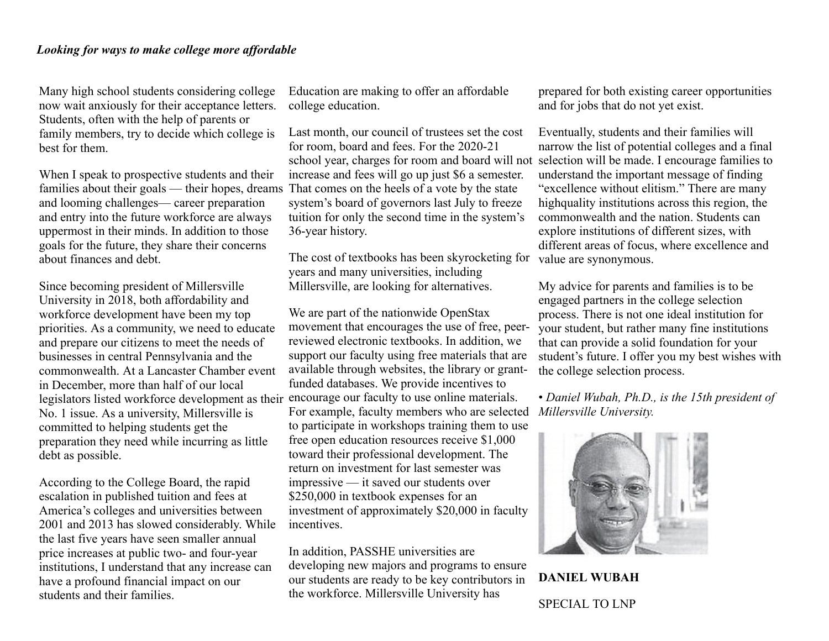Many high school students considering college now wait anxiously for their acceptance letters. Students, often with the help of parents or family members, try to decide which college is best for them.

When I speak to prospective students and their families about their goals — their hopes, dreams and looming challenges— career preparation and entry into the future workforce are always uppermost in their minds. In addition to those goals for the future, they share their concerns about finances and debt.

Since becoming president of Millersville University in 2018, both affordability and workforce development have been my top priorities. As a community, we need to educate and prepare our citizens to meet the needs of businesses in central Pennsylvania and the commonwealth. At a Lancaster Chamber event in December, more than half of our local legislators listed workforce development as their encourage our faculty to use online materials. No. 1 issue. As a university, Millersville is committed to helping students get the preparation they need while incurring as little debt as possible.

According to the College Board, the rapid escalation in published tuition and fees at America's colleges and universities between 2001 and 2013 has slowed considerably. While the last five years have seen smaller annual price increases at public two- and four-year institutions, I understand that any increase can have a profound financial impact on our students and their families.

Education are making to offer an affordable college education.

Last month, our council of trustees set the cost for room, board and fees. For the 2020-21 school year, charges for room and board will not selection will be made. I encourage families to increase and fees will go up just \$6 a semester. That comes on the heels of a vote by the state system's board of governors last July to freeze tuition for only the second time in the system's 36-year history.

The cost of textbooks has been skyrocketing for years and many universities, including Millersville, are looking for alternatives.

We are part of the nationwide OpenStax movement that encourages the use of free, peerreviewed electronic textbooks. In addition, we support our faculty using free materials that are available through websites, the library or grantfunded databases. We provide incentives to For example, faculty members who are selected to participate in workshops training them to use free open education resources receive \$1,000 toward their professional development. The return on investment for last semester was impressive — it saved our students over \$250,000 in textbook expenses for an investment of approximately \$20,000 in faculty incentives.

In addition, PASSHE universities are developing new majors and programs to ensure our students are ready to be key contributors in the workforce. Millersville University has

prepared for both existing career opportunities and for jobs that do not yet exist.

Eventually, students and their families will narrow the list of potential colleges and a final understand the important message of finding "excellence without elitism." There are many highquality institutions across this region, the commonwealth and the nation. Students can explore institutions of different sizes, with different areas of focus, where excellence and value are synonymous.

My advice for parents and families is to be engaged partners in the college selection process. There is not one ideal institution for your student, but rather many fine institutions that can provide a solid foundation for your student's future. I offer you my best wishes with the college selection process.

• *Daniel Wubah, Ph.D., is the 15th president of Millersville University.*



**DANIEL WUBAH** SPECIAL TO LNP